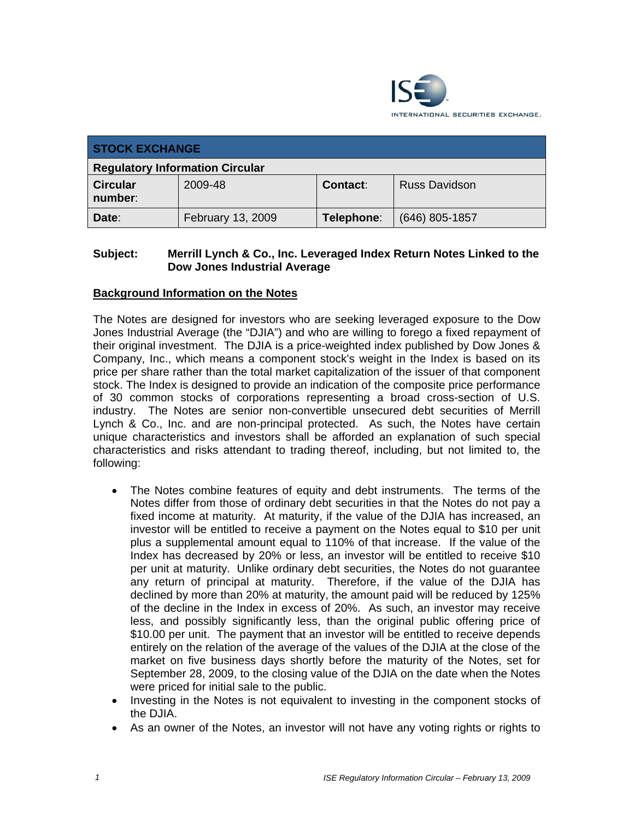

| <b>STOCK EXCHANGE</b>                  |                   |                 |                      |  |
|----------------------------------------|-------------------|-----------------|----------------------|--|
| <b>Regulatory Information Circular</b> |                   |                 |                      |  |
| <b>Circular</b><br>number:             | 2009-48           | <b>Contact:</b> | <b>Russ Davidson</b> |  |
| Date:                                  | February 13, 2009 | Telephone:      | $(646)$ 805-1857     |  |

### **Subject: Merrill Lynch & Co., Inc. Leveraged Index Return Notes Linked to the Dow Jones Industrial Average**

# **Background Information on the Notes**

The Notes are designed for investors who are seeking leveraged exposure to the Dow Jones Industrial Average (the "DJIA") and who are willing to forego a fixed repayment of their original investment. The DJIA is a price-weighted index published by Dow Jones & Company, Inc., which means a component stock's weight in the Index is based on its price per share rather than the total market capitalization of the issuer of that component stock. The Index is designed to provide an indication of the composite price performance of 30 common stocks of corporations representing a broad cross-section of U.S. industry. The Notes are senior non-convertible unsecured debt securities of Merrill Lynch & Co., Inc. and are non-principal protected. As such, the Notes have certain unique characteristics and investors shall be afforded an explanation of such special characteristics and risks attendant to trading thereof, including, but not limited to, the following:

- The Notes combine features of equity and debt instruments. The terms of the Notes differ from those of ordinary debt securities in that the Notes do not pay a fixed income at maturity. At maturity, if the value of the DJIA has increased, an investor will be entitled to receive a payment on the Notes equal to \$10 per unit plus a supplemental amount equal to 110% of that increase. If the value of the Index has decreased by 20% or less, an investor will be entitled to receive \$10 per unit at maturity. Unlike ordinary debt securities, the Notes do not guarantee any return of principal at maturity. Therefore, if the value of the DJIA has declined by more than 20% at maturity, the amount paid will be reduced by 125% of the decline in the Index in excess of 20%. As such, an investor may receive less, and possibly significantly less, than the original public offering price of \$10.00 per unit. The payment that an investor will be entitled to receive depends entirely on the relation of the average of the values of the DJIA at the close of the market on five business days shortly before the maturity of the Notes, set for September 28, 2009, to the closing value of the DJIA on the date when the Notes were priced for initial sale to the public.
- Investing in the Notes is not equivalent to investing in the component stocks of the DJIA.
- As an owner of the Notes, an investor will not have any voting rights or rights to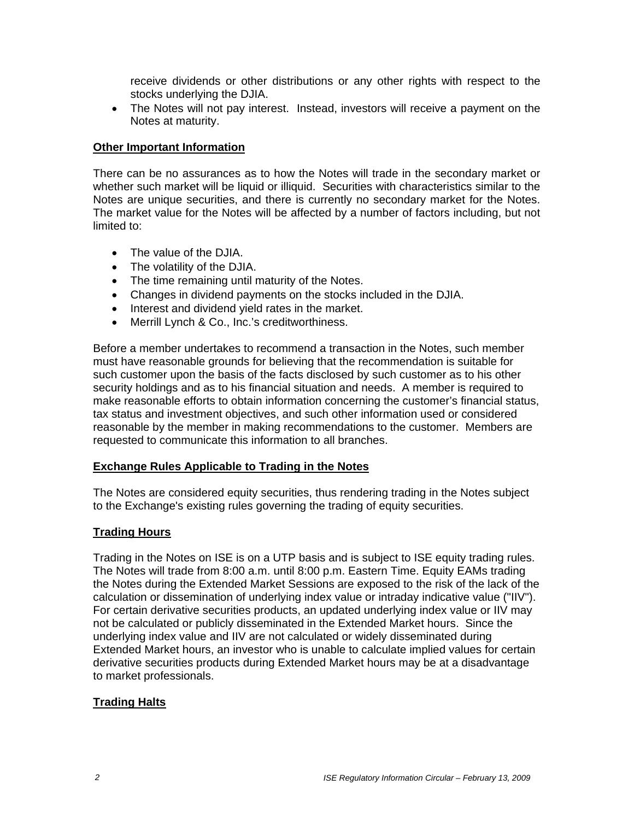receive dividends or other distributions or any other rights with respect to the stocks underlying the DJIA.

• The Notes will not pay interest. Instead, investors will receive a payment on the Notes at maturity.

#### **Other Important Information**

There can be no assurances as to how the Notes will trade in the secondary market or whether such market will be liquid or illiquid. Securities with characteristics similar to the Notes are unique securities, and there is currently no secondary market for the Notes. The market value for the Notes will be affected by a number of factors including, but not limited to:

- The value of the DJIA.
- The volatility of the DJIA.
- The time remaining until maturity of the Notes.
- Changes in dividend payments on the stocks included in the DJIA.
- Interest and dividend yield rates in the market.
- Merrill Lynch & Co., Inc.'s creditworthiness.

Before a member undertakes to recommend a transaction in the Notes, such member must have reasonable grounds for believing that the recommendation is suitable for such customer upon the basis of the facts disclosed by such customer as to his other security holdings and as to his financial situation and needs. A member is required to make reasonable efforts to obtain information concerning the customer's financial status, tax status and investment objectives, and such other information used or considered reasonable by the member in making recommendations to the customer. Members are requested to communicate this information to all branches.

#### **Exchange Rules Applicable to Trading in the Notes**

The Notes are considered equity securities, thus rendering trading in the Notes subject to the Exchange's existing rules governing the trading of equity securities.

## **Trading Hours**

Trading in the Notes on ISE is on a UTP basis and is subject to ISE equity trading rules. The Notes will trade from 8:00 a.m. until 8:00 p.m. Eastern Time. Equity EAMs trading the Notes during the Extended Market Sessions are exposed to the risk of the lack of the calculation or dissemination of underlying index value or intraday indicative value ("IIV"). For certain derivative securities products, an updated underlying index value or IIV may not be calculated or publicly disseminated in the Extended Market hours. Since the underlying index value and IIV are not calculated or widely disseminated during Extended Market hours, an investor who is unable to calculate implied values for certain derivative securities products during Extended Market hours may be at a disadvantage to market professionals.

## **Trading Halts**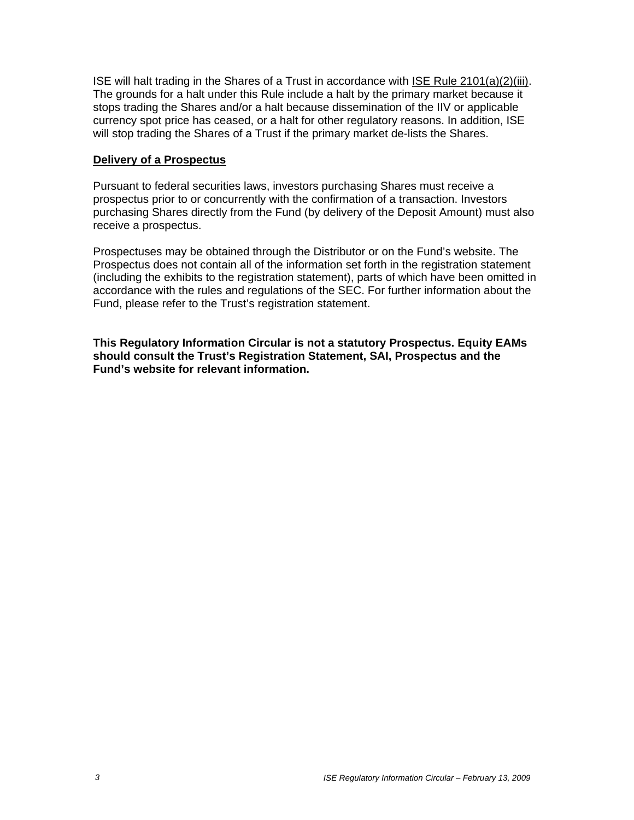ISE will halt trading in the Shares of a Trust in accordance with ISE Rule 2101(a)(2)(iii). The grounds for a halt under this Rule include a halt by the primary market because it stops trading the Shares and/or a halt because dissemination of the IIV or applicable currency spot price has ceased, or a halt for other regulatory reasons. In addition, ISE will stop trading the Shares of a Trust if the primary market de-lists the Shares.

#### **Delivery of a Prospectus**

Pursuant to federal securities laws, investors purchasing Shares must receive a prospectus prior to or concurrently with the confirmation of a transaction. Investors purchasing Shares directly from the Fund (by delivery of the Deposit Amount) must also receive a prospectus.

Prospectuses may be obtained through the Distributor or on the Fund's website. The Prospectus does not contain all of the information set forth in the registration statement (including the exhibits to the registration statement), parts of which have been omitted in accordance with the rules and regulations of the SEC. For further information about the Fund, please refer to the Trust's registration statement.

**This Regulatory Information Circular is not a statutory Prospectus. Equity EAMs should consult the Trust's Registration Statement, SAI, Prospectus and the Fund's website for relevant information.**